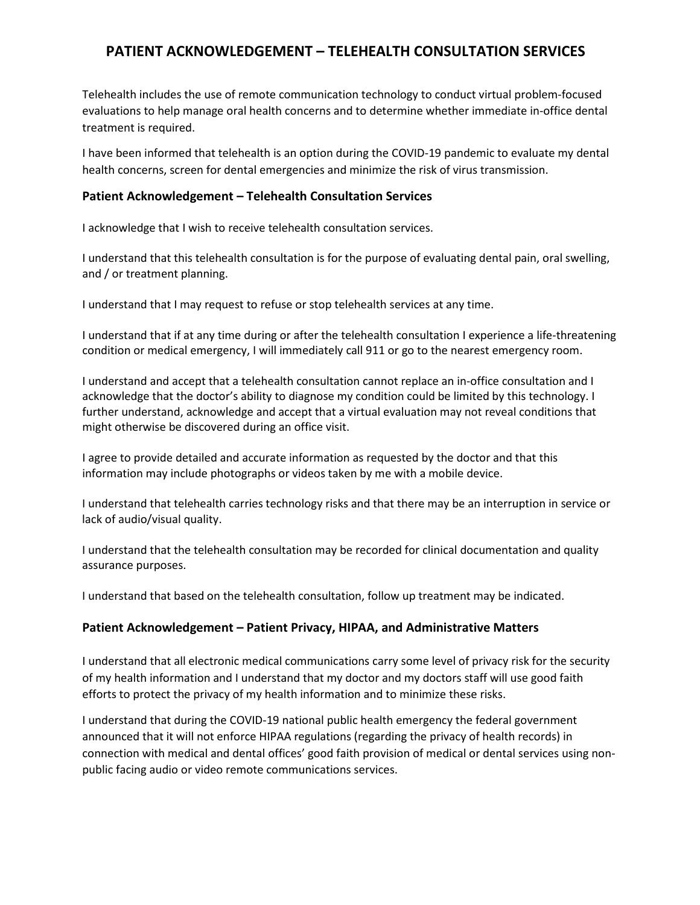## **PATIENT ACKNOWLEDGEMENT – TELEHEALTH CONSULTATION SERVICES**

Telehealth includes the use of remote communication technology to conduct virtual problem-focused evaluations to help manage oral health concerns and to determine whether immediate in-office dental treatment is required.

I have been informed that telehealth is an option during the COVID-19 pandemic to evaluate my dental health concerns, screen for dental emergencies and minimize the risk of virus transmission.

## **Patient Acknowledgement – Telehealth Consultation Services**

I acknowledge that I wish to receive telehealth consultation services.

I understand that this telehealth consultation is for the purpose of evaluating dental pain, oral swelling, and / or treatment planning.

I understand that I may request to refuse or stop telehealth services at any time.

I understand that if at any time during or after the telehealth consultation I experience a life-threatening condition or medical emergency, I will immediately call 911 or go to the nearest emergency room.

I understand and accept that a telehealth consultation cannot replace an in-office consultation and I acknowledge that the doctor's ability to diagnose my condition could be limited by this technology. I further understand, acknowledge and accept that a virtual evaluation may not reveal conditions that might otherwise be discovered during an office visit.

I agree to provide detailed and accurate information as requested by the doctor and that this information may include photographs or videos taken by me with a mobile device.

I understand that telehealth carries technology risks and that there may be an interruption in service or lack of audio/visual quality.

I understand that the telehealth consultation may be recorded for clinical documentation and quality assurance purposes.

I understand that based on the telehealth consultation, follow up treatment may be indicated.

## **Patient Acknowledgement – Patient Privacy, HIPAA, and Administrative Matters**

I understand that all electronic medical communications carry some level of privacy risk for the security of my health information and I understand that my doctor and my doctors staff will use good faith efforts to protect the privacy of my health information and to minimize these risks.

I understand that during the COVID-19 national public health emergency the federal government announced that it will not enforce HIPAA regulations (regarding the privacy of health records) in connection with medical and dental offices' good faith provision of medical or dental services using nonpublic facing audio or video remote communications services.